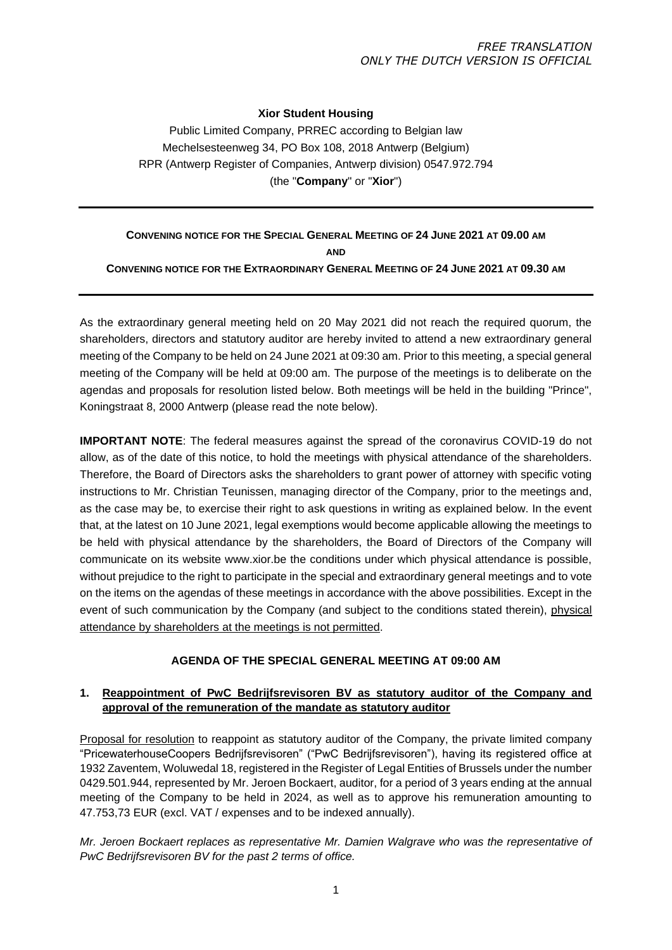### **Xior Student Housing**

Public Limited Company, PRREC according to Belgian law Mechelsesteenweg 34, PO Box 108, 2018 Antwerp (Belgium) RPR (Antwerp Register of Companies, Antwerp division) 0547.972.794 (the "**Company**" or "**Xior**")

# **CONVENING NOTICE FOR THE SPECIAL GENERAL MEETING OF 24 JUNE 2021 AT 09.00 AM**

**AND** 

**CONVENING NOTICE FOR THE EXTRAORDINARY GENERAL MEETING OF 24 JUNE 2021 AT 09.30 AM**

As the extraordinary general meeting held on 20 May 2021 did not reach the required quorum, the shareholders, directors and statutory auditor are hereby invited to attend a new extraordinary general meeting of the Company to be held on 24 June 2021 at 09:30 am. Prior to this meeting, a special general meeting of the Company will be held at 09:00 am. The purpose of the meetings is to deliberate on the agendas and proposals for resolution listed below. Both meetings will be held in the building "Prince", Koningstraat 8, 2000 Antwerp (please read the note below).

**IMPORTANT NOTE**: The federal measures against the spread of the coronavirus COVID-19 do not allow, as of the date of this notice, to hold the meetings with physical attendance of the shareholders. Therefore, the Board of Directors asks the shareholders to grant power of attorney with specific voting instructions to Mr. Christian Teunissen, managing director of the Company, prior to the meetings and, as the case may be, to exercise their right to ask questions in writing as explained below. In the event that, at the latest on 10 June 2021, legal exemptions would become applicable allowing the meetings to be held with physical attendance by the shareholders, the Board of Directors of the Company will communicate on its website www.xior.be the conditions under which physical attendance is possible, without prejudice to the right to participate in the special and extraordinary general meetings and to vote on the items on the agendas of these meetings in accordance with the above possibilities. Except in the event of such communication by the Company (and subject to the conditions stated therein), physical attendance by shareholders at the meetings is not permitted.

## **AGENDA OF THE SPECIAL GENERAL MEETING AT 09:00 AM**

## **1. Reappointment of PwC Bedrijfsrevisoren BV as statutory auditor of the Company and approval of the remuneration of the mandate as statutory auditor**

Proposal for resolution to reappoint as statutory auditor of the Company, the private limited company "PricewaterhouseCoopers Bedrijfsrevisoren" ("PwC Bedrijfsrevisoren"), having its registered office at 1932 Zaventem, Woluwedal 18, registered in the Register of Legal Entities of Brussels under the number 0429.501.944, represented by Mr. Jeroen Bockaert, auditor, for a period of 3 years ending at the annual meeting of the Company to be held in 2024, as well as to approve his remuneration amounting to 47.753,73 EUR (excl. VAT / expenses and to be indexed annually).

*Mr. Jeroen Bockaert replaces as representative Mr. Damien Walgrave who was the representative of PwC Bedrijfsrevisoren BV for the past 2 terms of office.*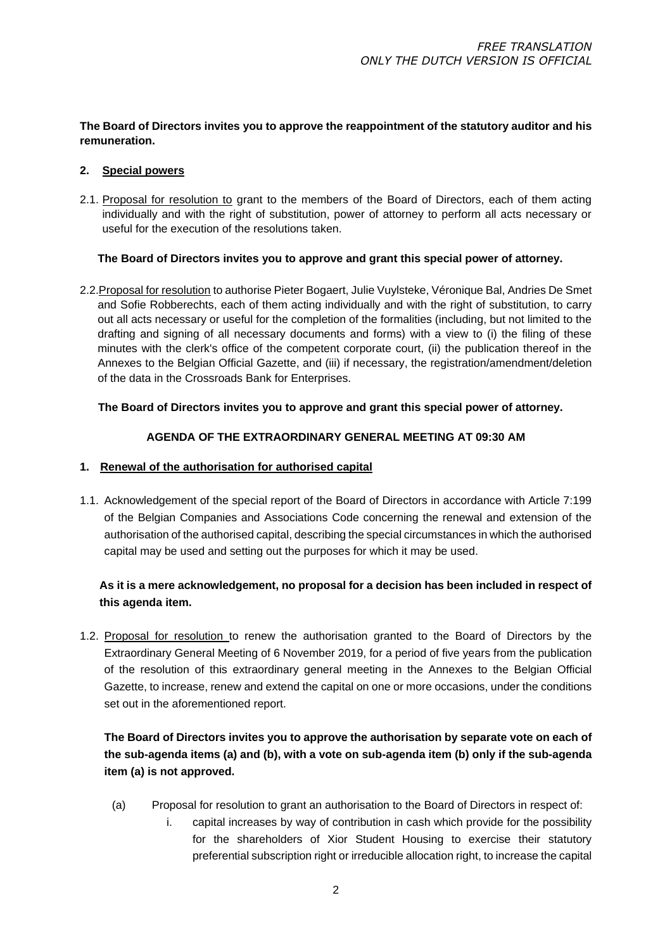## **The Board of Directors invites you to approve the reappointment of the statutory auditor and his remuneration.**

### **2. Special powers**

2.1. Proposal for resolution to grant to the members of the Board of Directors, each of them acting individually and with the right of substitution, power of attorney to perform all acts necessary or useful for the execution of the resolutions taken.

### **The Board of Directors invites you to approve and grant this special power of attorney.**

2.2.Proposal for resolution to authorise Pieter Bogaert, Julie Vuylsteke, Véronique Bal, Andries De Smet and Sofie Robberechts, each of them acting individually and with the right of substitution, to carry out all acts necessary or useful for the completion of the formalities (including, but not limited to the drafting and signing of all necessary documents and forms) with a view to (i) the filing of these minutes with the clerk's office of the competent corporate court, (ii) the publication thereof in the Annexes to the Belgian Official Gazette, and (iii) if necessary, the registration/amendment/deletion of the data in the Crossroads Bank for Enterprises.

## **The Board of Directors invites you to approve and grant this special power of attorney.**

## **AGENDA OF THE EXTRAORDINARY GENERAL MEETING AT 09:30 AM**

## **1. Renewal of the authorisation for authorised capital**

1.1. Acknowledgement of the special report of the Board of Directors in accordance with Article 7:199 of the Belgian Companies and Associations Code concerning the renewal and extension of the authorisation of the authorised capital, describing the special circumstances in which the authorised capital may be used and setting out the purposes for which it may be used.

# **As it is a mere acknowledgement, no proposal for a decision has been included in respect of this agenda item.**

1.2. Proposal for resolution to renew the authorisation granted to the Board of Directors by the Extraordinary General Meeting of 6 November 2019, for a period of five years from the publication of the resolution of this extraordinary general meeting in the Annexes to the Belgian Official Gazette, to increase, renew and extend the capital on one or more occasions, under the conditions set out in the aforementioned report.

# **The Board of Directors invites you to approve the authorisation by separate vote on each of the sub-agenda items (a) and (b), with a vote on sub-agenda item (b) only if the sub-agenda item (a) is not approved.**

- (a) Proposal for resolution to grant an authorisation to the Board of Directors in respect of:
	- i. capital increases by way of contribution in cash which provide for the possibility for the shareholders of Xior Student Housing to exercise their statutory preferential subscription right or irreducible allocation right, to increase the capital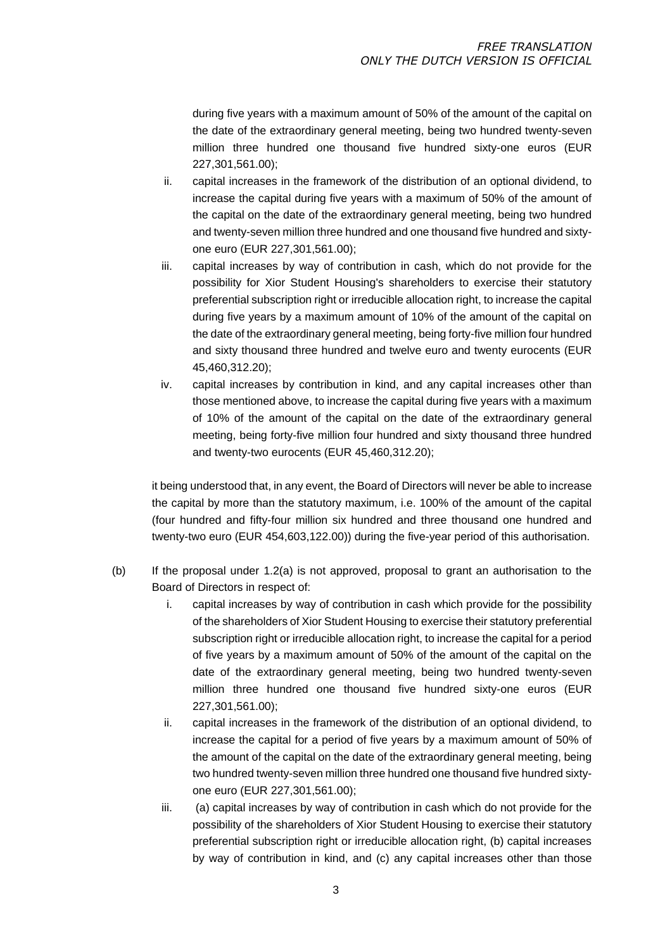during five years with a maximum amount of 50% of the amount of the capital on the date of the extraordinary general meeting, being two hundred twenty-seven million three hundred one thousand five hundred sixty-one euros (EUR 227,301,561.00);

- ii. capital increases in the framework of the distribution of an optional dividend, to increase the capital during five years with a maximum of 50% of the amount of the capital on the date of the extraordinary general meeting, being two hundred and twenty-seven million three hundred and one thousand five hundred and sixtyone euro (EUR 227,301,561.00);
- iii. capital increases by way of contribution in cash, which do not provide for the possibility for Xior Student Housing's shareholders to exercise their statutory preferential subscription right or irreducible allocation right, to increase the capital during five years by a maximum amount of 10% of the amount of the capital on the date of the extraordinary general meeting, being forty-five million four hundred and sixty thousand three hundred and twelve euro and twenty eurocents (EUR 45,460,312.20);
- iv. capital increases by contribution in kind, and any capital increases other than those mentioned above, to increase the capital during five years with a maximum of 10% of the amount of the capital on the date of the extraordinary general meeting, being forty-five million four hundred and sixty thousand three hundred and twenty-two eurocents (EUR 45,460,312.20);

it being understood that, in any event, the Board of Directors will never be able to increase the capital by more than the statutory maximum, i.e. 100% of the amount of the capital (four hundred and fifty-four million six hundred and three thousand one hundred and twenty-two euro (EUR 454,603,122.00)) during the five-year period of this authorisation.

- (b) If the proposal under 1.2(a) is not approved, proposal to grant an authorisation to the Board of Directors in respect of:
	- i. capital increases by way of contribution in cash which provide for the possibility of the shareholders of Xior Student Housing to exercise their statutory preferential subscription right or irreducible allocation right, to increase the capital for a period of five years by a maximum amount of 50% of the amount of the capital on the date of the extraordinary general meeting, being two hundred twenty-seven million three hundred one thousand five hundred sixty-one euros (EUR 227,301,561.00);
	- ii. capital increases in the framework of the distribution of an optional dividend, to increase the capital for a period of five years by a maximum amount of 50% of the amount of the capital on the date of the extraordinary general meeting, being two hundred twenty-seven million three hundred one thousand five hundred sixtyone euro (EUR 227,301,561.00);
	- iii. (a) capital increases by way of contribution in cash which do not provide for the possibility of the shareholders of Xior Student Housing to exercise their statutory preferential subscription right or irreducible allocation right, (b) capital increases by way of contribution in kind, and (c) any capital increases other than those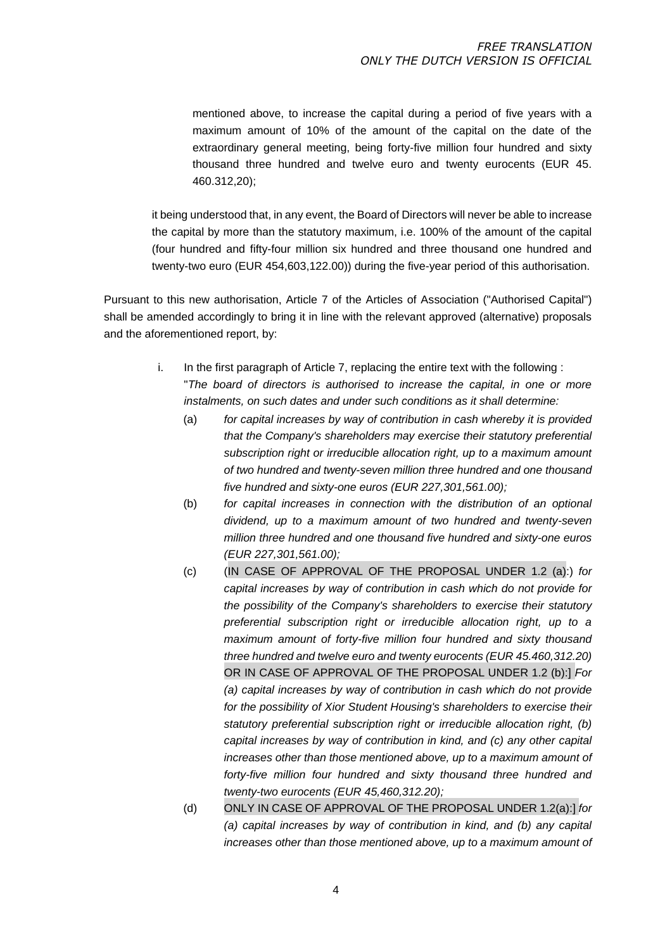mentioned above, to increase the capital during a period of five years with a maximum amount of 10% of the amount of the capital on the date of the extraordinary general meeting, being forty-five million four hundred and sixty thousand three hundred and twelve euro and twenty eurocents (EUR 45. 460.312,20);

it being understood that, in any event, the Board of Directors will never be able to increase the capital by more than the statutory maximum, i.e. 100% of the amount of the capital (four hundred and fifty-four million six hundred and three thousand one hundred and twenty-two euro (EUR 454,603,122.00)) during the five-year period of this authorisation.

Pursuant to this new authorisation, Article 7 of the Articles of Association ("Authorised Capital") shall be amended accordingly to bring it in line with the relevant approved (alternative) proposals and the aforementioned report, by:

- i. In the first paragraph of Article 7, replacing the entire text with the following : "*The board of directors is authorised to increase the capital, in one or more instalments, on such dates and under such conditions as it shall determine:*
	- (a) *for capital increases by way of contribution in cash whereby it is provided that the Company's shareholders may exercise their statutory preferential subscription right or irreducible allocation right, up to a maximum amount of two hundred and twenty-seven million three hundred and one thousand five hundred and sixty-one euros (EUR 227,301,561.00);*
	- (b) *for capital increases in connection with the distribution of an optional dividend, up to a maximum amount of two hundred and twenty-seven million three hundred and one thousand five hundred and sixty-one euros (EUR 227,301,561.00);*
	- (c) (IN CASE OF APPROVAL OF THE PROPOSAL UNDER 1.2 (a):) *for capital increases by way of contribution in cash which do not provide for the possibility of the Company's shareholders to exercise their statutory preferential subscription right or irreducible allocation right, up to a maximum amount of forty-five million four hundred and sixty thousand three hundred and twelve euro and twenty eurocents (EUR 45.460,312.20)*  OR IN CASE OF APPROVAL OF THE PROPOSAL UNDER 1.2 (b):] *For (a) capital increases by way of contribution in cash which do not provide for the possibility of Xior Student Housing's shareholders to exercise their statutory preferential subscription right or irreducible allocation right, (b) capital increases by way of contribution in kind, and (c) any other capital increases other than those mentioned above, up to a maximum amount of forty-five million four hundred and sixty thousand three hundred and twenty-two eurocents (EUR 45,460,312.20);*
	- (d) ONLY IN CASE OF APPROVAL OF THE PROPOSAL UNDER 1.2(a):] *for (a) capital increases by way of contribution in kind, and (b) any capital increases other than those mentioned above, up to a maximum amount of*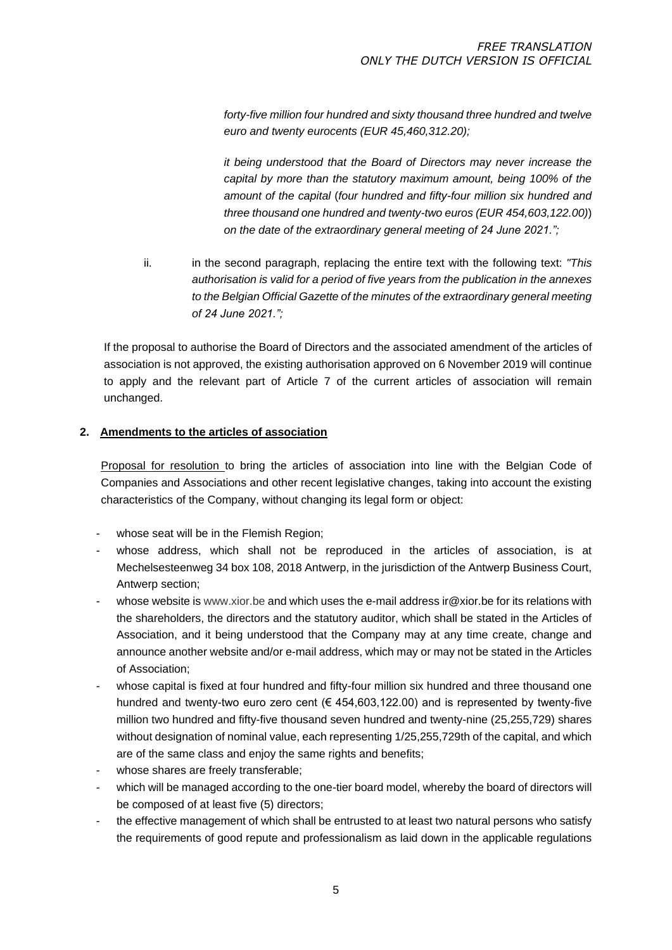*forty-five million four hundred and sixty thousand three hundred and twelve euro and twenty eurocents (EUR 45,460,312.20);*

*it being understood that the Board of Directors may never increase the capital by more than the statutory maximum amount, being 100% of the amount of the capital* (*four hundred and fifty-four million six hundred and three thousand one hundred and twenty-two euros (EUR 454,603,122.00)*) *on the date of the extraordinary general meeting of 24 June 2021.";* 

ii. in the second paragraph, replacing the entire text with the following text: *"This authorisation is valid for a period of five years from the publication in the annexes to the Belgian Official Gazette of the minutes of the extraordinary general meeting of 24 June 2021.";*

If the proposal to authorise the Board of Directors and the associated amendment of the articles of association is not approved, the existing authorisation approved on 6 November 2019 will continue to apply and the relevant part of Article 7 of the current articles of association will remain unchanged.

## **2. Amendments to the articles of association**

Proposal for resolution to bring the articles of association into line with the Belgian Code of Companies and Associations and other recent legislative changes, taking into account the existing characteristics of the Company, without changing its legal form or object:

- whose seat will be in the Flemish Region;
- whose address, which shall not be reproduced in the articles of association, is at Mechelsesteenweg 34 box 108, 2018 Antwerp, in the jurisdiction of the Antwerp Business Court, Antwerp section;
- whose website i[s www.xior.be a](http://www.xior.be/)nd which uses the e-mail address ir@xior.be for its relations with the shareholders, the directors and the statutory auditor, which shall be stated in the Articles of Association, and it being understood that the Company may at any time create, change and announce another website and/or e-mail address, which may or may not be stated in the Articles of Association;
- whose capital is fixed at four hundred and fifty-four million six hundred and three thousand one hundred and twenty-two euro zero cent (€ 454,603,122.00) and is represented by twenty-five million two hundred and fifty-five thousand seven hundred and twenty-nine (25,255,729) shares without designation of nominal value, each representing 1/25,255,729th of the capital, and which are of the same class and enjoy the same rights and benefits:
- whose shares are freely transferable;
- which will be managed according to the one-tier board model, whereby the board of directors will be composed of at least five (5) directors;
- the effective management of which shall be entrusted to at least two natural persons who satisfy the requirements of good repute and professionalism as laid down in the applicable regulations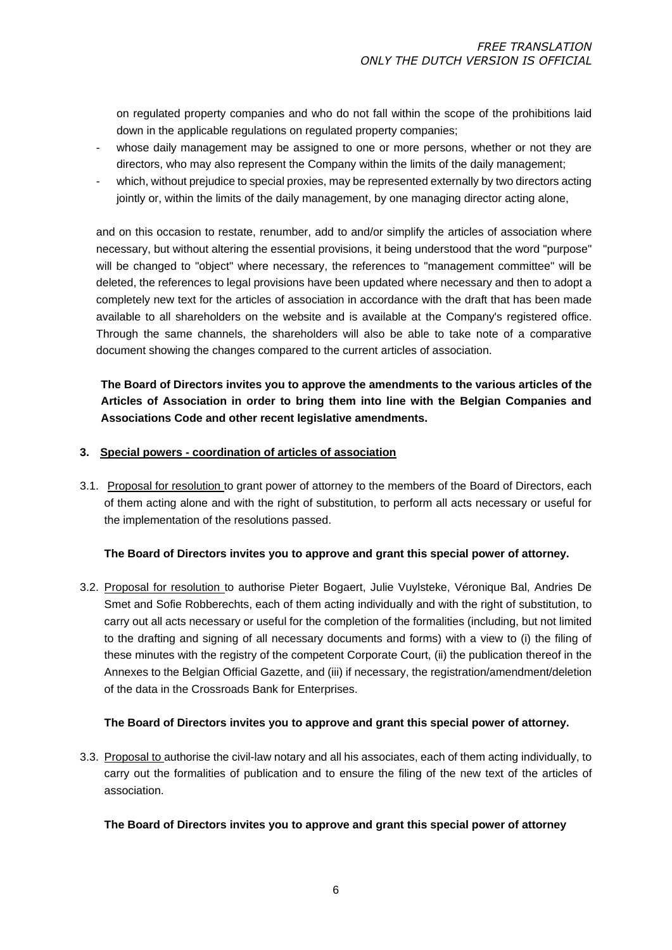on regulated property companies and who do not fall within the scope of the prohibitions laid down in the applicable regulations on regulated property companies;

- whose daily management may be assigned to one or more persons, whether or not they are directors, who may also represent the Company within the limits of the daily management;
- which, without prejudice to special proxies, may be represented externally by two directors acting jointly or, within the limits of the daily management, by one managing director acting alone,

and on this occasion to restate, renumber, add to and/or simplify the articles of association where necessary, but without altering the essential provisions, it being understood that the word "purpose" will be changed to "object" where necessary, the references to "management committee" will be deleted, the references to legal provisions have been updated where necessary and then to adopt a completely new text for the articles of association in accordance with the draft that has been made available to all shareholders on the website and is available at the Company's registered office. Through the same channels, the shareholders will also be able to take note of a comparative document showing the changes compared to the current articles of association.

**The Board of Directors invites you to approve the amendments to the various articles of the Articles of Association in order to bring them into line with the Belgian Companies and Associations Code and other recent legislative amendments.**

## **3. Special powers - coordination of articles of association**

3.1. Proposal for resolution to grant power of attorney to the members of the Board of Directors, each of them acting alone and with the right of substitution, to perform all acts necessary or useful for the implementation of the resolutions passed.

### **The Board of Directors invites you to approve and grant this special power of attorney.**

3.2. Proposal for resolution to authorise Pieter Bogaert, Julie Vuylsteke, Véronique Bal, Andries De Smet and Sofie Robberechts, each of them acting individually and with the right of substitution, to carry out all acts necessary or useful for the completion of the formalities (including, but not limited to the drafting and signing of all necessary documents and forms) with a view to (i) the filing of these minutes with the registry of the competent Corporate Court, (ii) the publication thereof in the Annexes to the Belgian Official Gazette, and (iii) if necessary, the registration/amendment/deletion of the data in the Crossroads Bank for Enterprises.

## **The Board of Directors invites you to approve and grant this special power of attorney.**

3.3. Proposal to authorise the civil-law notary and all his associates, each of them acting individually, to carry out the formalities of publication and to ensure the filing of the new text of the articles of association.

### **The Board of Directors invites you to approve and grant this special power of attorney**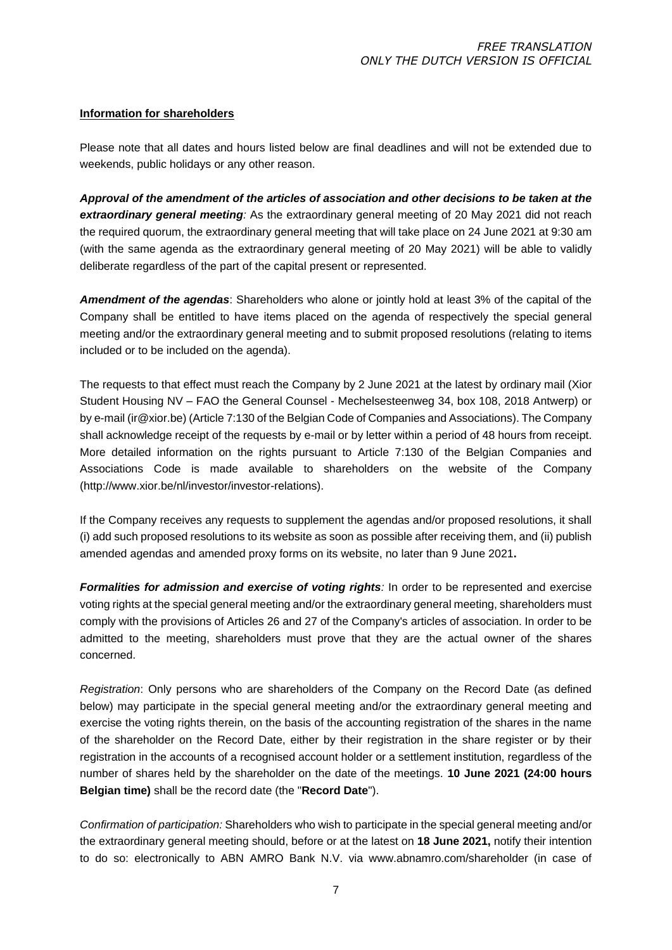### **Information for shareholders**

Please note that all dates and hours listed below are final deadlines and will not be extended due to weekends, public holidays or any other reason.

*Approval of the amendment of the articles of association and other decisions to be taken at the extraordinary general meeting:* As the extraordinary general meeting of 20 May 2021 did not reach the required quorum, the extraordinary general meeting that will take place on 24 June 2021 at 9:30 am (with the same agenda as the extraordinary general meeting of 20 May 2021) will be able to validly deliberate regardless of the part of the capital present or represented.

*Amendment of the agendas*: Shareholders who alone or jointly hold at least 3% of the capital of the Company shall be entitled to have items placed on the agenda of respectively the special general meeting and/or the extraordinary general meeting and to submit proposed resolutions (relating to items included or to be included on the agenda).

The requests to that effect must reach the Company by 2 June 2021 at the latest by ordinary mail (Xior Student Housing NV – FAO the General Counsel - Mechelsesteenweg 34, box 108, 2018 Antwerp) or by e-mail (ir@xior.be) (Article 7:130 of the Belgian Code of Companies and Associations). The Company shall acknowledge receipt of the requests by e-mail or by letter within a period of 48 hours from receipt. More detailed information on the rights pursuant to Article 7:130 of the Belgian Companies and Associations Code is made available to shareholders on the website of the Company (http://www.xior.be/nl/investor/investor-relations).

If the Company receives any requests to supplement the agendas and/or proposed resolutions, it shall (i) add such proposed resolutions to its website as soon as possible after receiving them, and (ii) publish amended agendas and amended proxy forms on its website, no later than 9 June 2021**.**

*Formalities for admission and exercise of voting rights*: In order to be represented and exercise voting rights at the special general meeting and/or the extraordinary general meeting, shareholders must comply with the provisions of Articles 26 and 27 of the Company's articles of association. In order to be admitted to the meeting, shareholders must prove that they are the actual owner of the shares concerned.

*Registration*: Only persons who are shareholders of the Company on the Record Date (as defined below) may participate in the special general meeting and/or the extraordinary general meeting and exercise the voting rights therein, on the basis of the accounting registration of the shares in the name of the shareholder on the Record Date, either by their registration in the share register or by their registration in the accounts of a recognised account holder or a settlement institution, regardless of the number of shares held by the shareholder on the date of the meetings. **10 June 2021 (24:00 hours Belgian time)** shall be the record date (the "**Record Date**").

*Confirmation of participation:* Shareholders who wish to participate in the special general meeting and/or the extraordinary general meeting should, before or at the latest on **18 June 2021,** notify their intention to do so: electronically to ABN AMRO Bank N.V. via www.abnamro.com/shareholder (in case of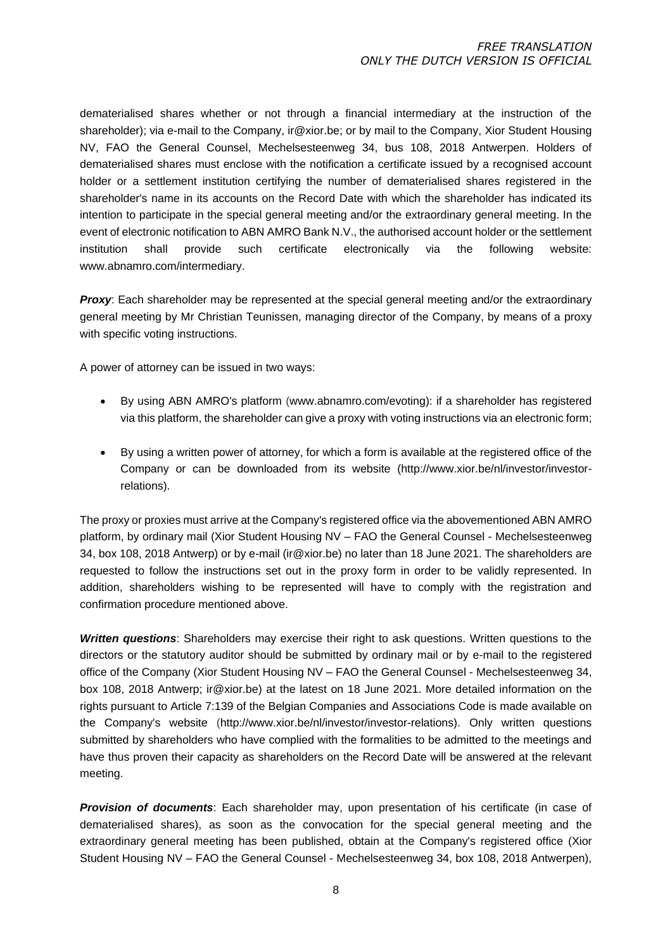dematerialised shares whether or not through a financial intermediary at the instruction of the shareholder); via e-mail to the Company, ir@xior.be; or by mail to the Company, Xior Student Housing NV, FAO the General Counsel, Mechelsesteenweg 34, bus 108, 2018 Antwerpen. Holders of dematerialised shares must enclose with the notification a certificate issued by a recognised account holder or a settlement institution certifying the number of dematerialised shares registered in the shareholder's name in its accounts on the Record Date with which the shareholder has indicated its intention to participate in the special general meeting and/or the extraordinary general meeting. In the event of electronic notification to ABN AMRO Bank N.V., the authorised account holder or the settlement institution shall provide such certificate electronically via the following website: www.abnamro.com/intermediary.

**Proxy:** Each shareholder may be represented at the special general meeting and/or the extraordinary general meeting by Mr Christian Teunissen, managing director of the Company, by means of a proxy with specific voting instructions.

A power of attorney can be issued in two ways:

- By using ABN AMRO's platform [\(w](http://www.abnamro.com/shareholder)ww.abnamro.com/evoting): if a shareholder has registered via this platform, the shareholder can give a proxy with voting instructions via an electronic form;
- By using a written power of attorney, for which a form is available at the registered office of the Company or can be downloaded from its website (http://www.xior.be/nl/investor/investorrelations).

The proxy or proxies must arrive at the Company's registered office via the abovementioned ABN AMRO platform, by ordinary mail (Xior Student Housing NV – FAO the General Counsel - Mechelsesteenweg 34, box 108, 2018 Antwerp) or by e-mail (ir@xior.be) no later than 18 June 2021. The shareholders are requested to follow the instructions set out in the proxy form in order to be validly represented. In addition, shareholders wishing to be represented will have to comply with the registration and confirmation procedure mentioned above.

*Written questions*: Shareholders may exercise their right to ask questions. Written questions to the directors or the statutory auditor should be submitted by ordinary mail or by e-mail to the registered office of the Company (Xior Student Housing NV – FAO the General Counsel - Mechelsesteenweg 34, box 108, 2018 Antwerp; ir@xior.be) at the latest on 18 June 2021. More detailed information on the rights pursuant to Article 7:139 of the Belgian Companies and Associations Code is made available on the Company's website [\(h](http://www.xior.be/nl/investor/investor-relations)ttp://www.xior.be/nl/investor/investor-relations). Only written questions submitted by shareholders who have complied with the formalities to be admitted to the meetings and have thus proven their capacity as shareholders on the Record Date will be answered at the relevant meeting.

*Provision of documents*: Each shareholder may, upon presentation of his certificate (in case of dematerialised shares), as soon as the convocation for the special general meeting and the extraordinary general meeting has been published, obtain at the Company's registered office (Xior Student Housing NV – FAO the General Counsel - Mechelsesteenweg 34, box 108, 2018 Antwerpen),